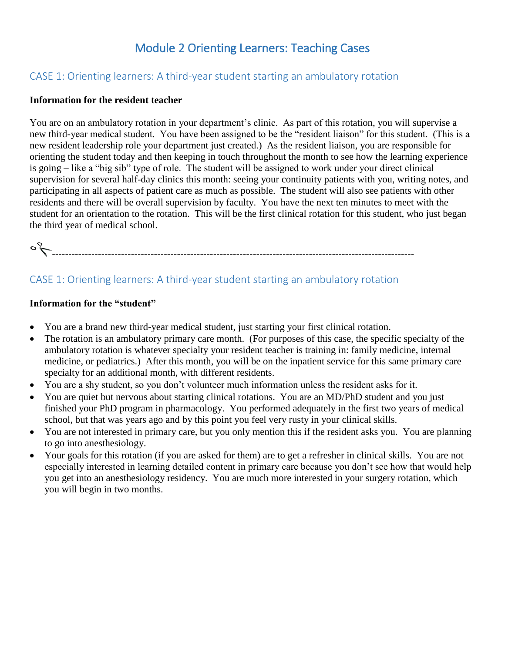## Module 2 Orienting Learners: Teaching Cases

### CASE 1: Orienting learners: A third-year student starting an ambulatory rotation

#### **Information for the resident teacher**

You are on an ambulatory rotation in your department's clinic. As part of this rotation, you will supervise a new third-year medical student. You have been assigned to be the "resident liaison" for this student. (This is a new resident leadership role your department just created.) As the resident liaison, you are responsible for orienting the student today and then keeping in touch throughout the month to see how the learning experience is going – like a "big sib" type of role. The student will be assigned to work under your direct clinical supervision for several half-day clinics this month: seeing your continuity patients with you, writing notes, and participating in all aspects of patient care as much as possible. The student will also see patients with other residents and there will be overall supervision by faculty. You have the next ten minutes to meet with the student for an orientation to the rotation. This will be the first clinical rotation for this student, who just began the third year of medical school.

--------------------------------------------------------------------------------------------------------------

## CASE 1: Orienting learners: A third-year student starting an ambulatory rotation

#### **Information for the "student"**

- You are a brand new third-year medical student, just starting your first clinical rotation.
- The rotation is an ambulatory primary care month. (For purposes of this case, the specific specialty of the ambulatory rotation is whatever specialty your resident teacher is training in: family medicine, internal medicine, or pediatrics.) After this month, you will be on the inpatient service for this same primary care specialty for an additional month, with different residents.
- You are a shy student, so you don't volunteer much information unless the resident asks for it.
- You are quiet but nervous about starting clinical rotations. You are an MD/PhD student and you just finished your PhD program in pharmacology. You performed adequately in the first two years of medical school, but that was years ago and by this point you feel very rusty in your clinical skills.
- You are not interested in primary care, but you only mention this if the resident asks you. You are planning to go into anesthesiology.
- Your goals for this rotation (if you are asked for them) are to get a refresher in clinical skills. You are not especially interested in learning detailed content in primary care because you don't see how that would help you get into an anesthesiology residency. You are much more interested in your surgery rotation, which you will begin in two months.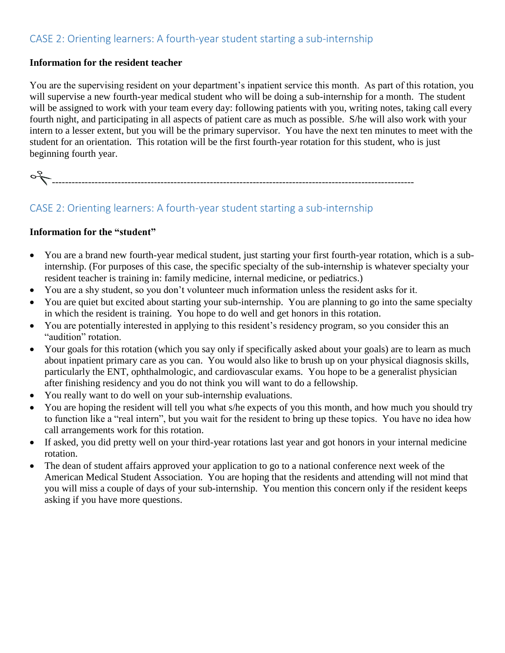## CASE 2: Orienting learners: A fourth-year student starting a sub-internship

#### **Information for the resident teacher**

You are the supervising resident on your department's inpatient service this month. As part of this rotation, you will supervise a new fourth-year medical student who will be doing a sub-internship for a month. The student will be assigned to work with your team every day: following patients with you, writing notes, taking call every fourth night, and participating in all aspects of patient care as much as possible. S/he will also work with your intern to a lesser extent, but you will be the primary supervisor. You have the next ten minutes to meet with the student for an orientation. This rotation will be the first fourth-year rotation for this student, who is just beginning fourth year.

--------------------------------------------------------------------------------------------------------------

## CASE 2: Orienting learners: A fourth-year student starting a sub-internship

#### **Information for the "student"**

- You are a brand new fourth-year medical student, just starting your first fourth-year rotation, which is a subinternship. (For purposes of this case, the specific specialty of the sub-internship is whatever specialty your resident teacher is training in: family medicine, internal medicine, or pediatrics.)
- You are a shy student, so you don't volunteer much information unless the resident asks for it.
- You are quiet but excited about starting your sub-internship. You are planning to go into the same specialty in which the resident is training. You hope to do well and get honors in this rotation.
- You are potentially interested in applying to this resident's residency program, so you consider this an "audition" rotation.
- Your goals for this rotation (which you say only if specifically asked about your goals) are to learn as much about inpatient primary care as you can. You would also like to brush up on your physical diagnosis skills, particularly the ENT, ophthalmologic, and cardiovascular exams. You hope to be a generalist physician after finishing residency and you do not think you will want to do a fellowship.
- You really want to do well on your sub-internship evaluations.
- You are hoping the resident will tell you what s/he expects of you this month, and how much you should try to function like a "real intern", but you wait for the resident to bring up these topics. You have no idea how call arrangements work for this rotation.
- If asked, you did pretty well on your third-year rotations last year and got honors in your internal medicine rotation.
- The dean of student affairs approved your application to go to a national conference next week of the American Medical Student Association. You are hoping that the residents and attending will not mind that you will miss a couple of days of your sub-internship. You mention this concern only if the resident keeps asking if you have more questions.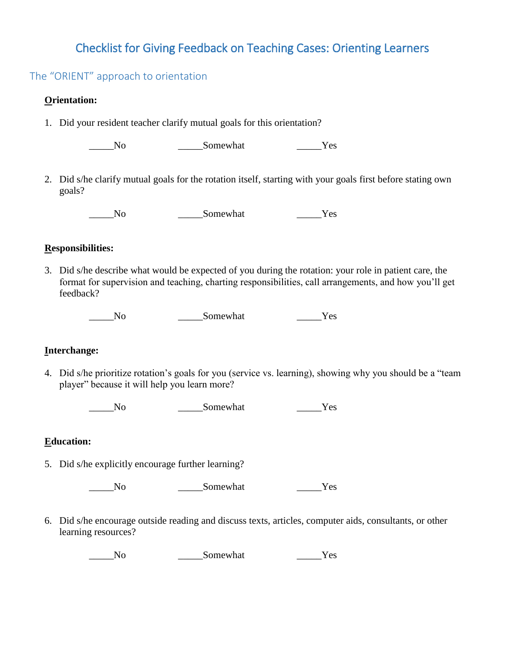## Checklist for Giving Feedback on Teaching Cases: Orienting Learners

### The "ORIENT" approach to orientation

#### **Orientation:**

1. Did your resident teacher clarify mutual goals for this orientation?

\_\_\_\_\_No \_\_\_\_\_Somewhat \_\_\_\_\_Yes

2. Did s/he clarify mutual goals for the rotation itself, starting with your goals first before stating own goals?

\_\_\_\_\_No \_\_\_\_\_Somewhat \_\_\_\_\_Yes

#### **Responsibilities:**

3. Did s/he describe what would be expected of you during the rotation: your role in patient care, the format for supervision and teaching, charting responsibilities, call arrangements, and how you'll get feedback?

\_\_\_\_\_No \_\_\_\_\_Somewhat \_\_\_\_\_Yes

#### **Interchange:**

4. Did s/he prioritize rotation's goals for you (service vs. learning), showing why you should be a "team player" because it will help you learn more?

\_\_\_\_\_No \_\_\_\_\_Somewhat \_\_\_\_\_Yes

#### **Education:**

5. Did s/he explicitly encourage further learning?

\_\_\_\_\_No \_\_\_\_\_Somewhat \_\_\_\_\_Yes

6. Did s/he encourage outside reading and discuss texts, articles, computer aids, consultants, or other learning resources?

\_\_\_\_\_No \_\_\_\_\_Somewhat \_\_\_\_\_Yes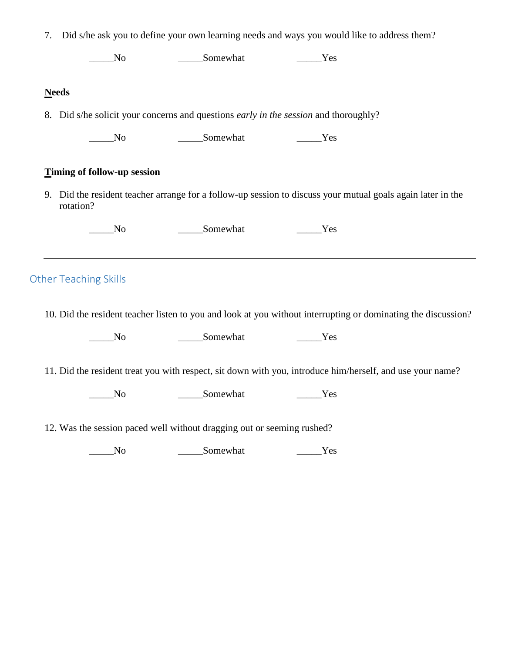| 7.           | Did s/he ask you to define your own learning needs and ways you would like to address them? |                                                                                      |                                                                                                                  |
|--------------|---------------------------------------------------------------------------------------------|--------------------------------------------------------------------------------------|------------------------------------------------------------------------------------------------------------------|
|              | N <sub>0</sub>                                                                              | Somewhat Test Test                                                                   |                                                                                                                  |
| <b>Needs</b> |                                                                                             |                                                                                      |                                                                                                                  |
|              |                                                                                             | 8. Did s/he solicit your concerns and questions early in the session and thoroughly? |                                                                                                                  |
|              | $\sqrt{N}$                                                                                  | Somewhat Test Test                                                                   |                                                                                                                  |
|              | Timing of follow-up session                                                                 |                                                                                      |                                                                                                                  |
|              |                                                                                             |                                                                                      |                                                                                                                  |
|              | rotation?                                                                                   |                                                                                      | 9. Did the resident teacher arrange for a follow-up session to discuss your mutual goals again later in the      |
|              | N <sub>0</sub>                                                                              | Somewhat Test Test                                                                   |                                                                                                                  |
|              | <b>Other Teaching Skills</b>                                                                |                                                                                      |                                                                                                                  |
|              |                                                                                             |                                                                                      |                                                                                                                  |
|              | $\rm No$<br>$\sqrt{N}$                                                                      | Somewhat Test Test<br>Somewhat                                                       | 11. Did the resident treat you with respect, sit down with you, introduce him/herself, and use your name?<br>Yes |
|              |                                                                                             | 12. Was the session paced well without dragging out or seeming rushed?               | 10. Did the resident teacher listen to you and look at you without interrupting or dominating the discussion?    |